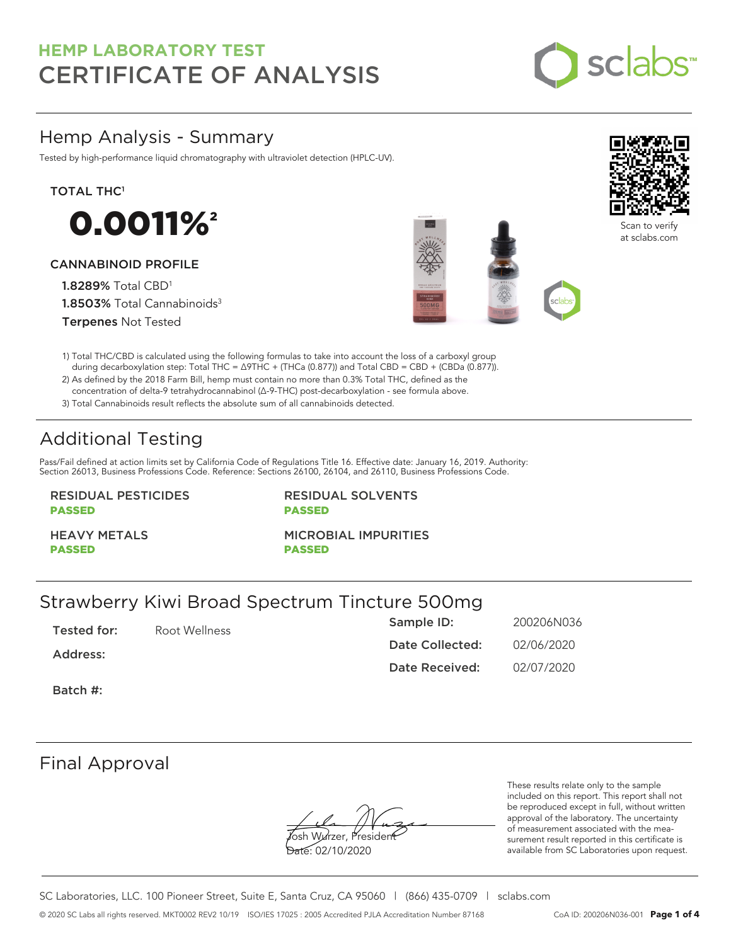

# Hemp Analysis - Summary

Tested by high-performance liquid chromatography with ultraviolet detection (HPLC-UV).

## TOTAL THC<sup>1</sup>



## CANNABINOID PROFILE

1.8289% Total CBD<sup>1</sup> 1.8503% Total Cannabinoids<sup>3</sup> Terpenes Not Tested







Scan to verify at sclabs.com

1) Total THC/CBD is calculated using the following formulas to take into account the loss of a carboxyl group during decarboxylation step: Total THC = ∆9THC + (THCa (0.877)) and Total CBD = CBD + (CBDa (0.877)).

2) As defined by the 2018 Farm Bill, hemp must contain no more than 0.3% Total THC, defined as the concentration of delta-9 tetrahydrocannabinol (Δ-9-THC) post-decarboxylation - see formula above.

3) Total Cannabinoids result reflects the absolute sum of all cannabinoids detected.

# Additional Testing

Pass/Fail defined at action limits set by California Code of Regulations Title 16. Effective date: January 16, 2019. Authority: Section 26013, Business Professions Code. Reference: Sections 26100, 26104, and 26110, Business Professions Code.

## RESIDUAL PESTICIDES PASSED

RESIDUAL SOLVENTS PASSED

HEAVY METALS PASSED

MICROBIAL IMPURITIES

PASSED

# Strawberry Kiwi Broad Spectrum Tincture 500mg

Tested for: Root Wellness

Address:

Sample ID: 200206N036 Date Collected: 02/06/2020 Date Received: 02/07/2020

Batch #:

## Final Approval

**J**osh Wurzer, Presiden<del>t</del> Date: 02/10/2020

These results relate only to the sample included on this report. This report shall not be reproduced except in full, without written approval of the laboratory. The uncertainty of measurement associated with the measurement result reported in this certificate is available from SC Laboratories upon request.

SC Laboratories, LLC. 100 Pioneer Street, Suite E, Santa Cruz, CA 95060 | (866) 435-0709 | sclabs.com © 2020 SC Labs all rights reserved. MKT0002 REV2 10/19 ISO/IES 17025 : 2005 Accredited PJLA Accreditation Number 87168 CoA ID: 200206N036-001 **Page 1 of 4**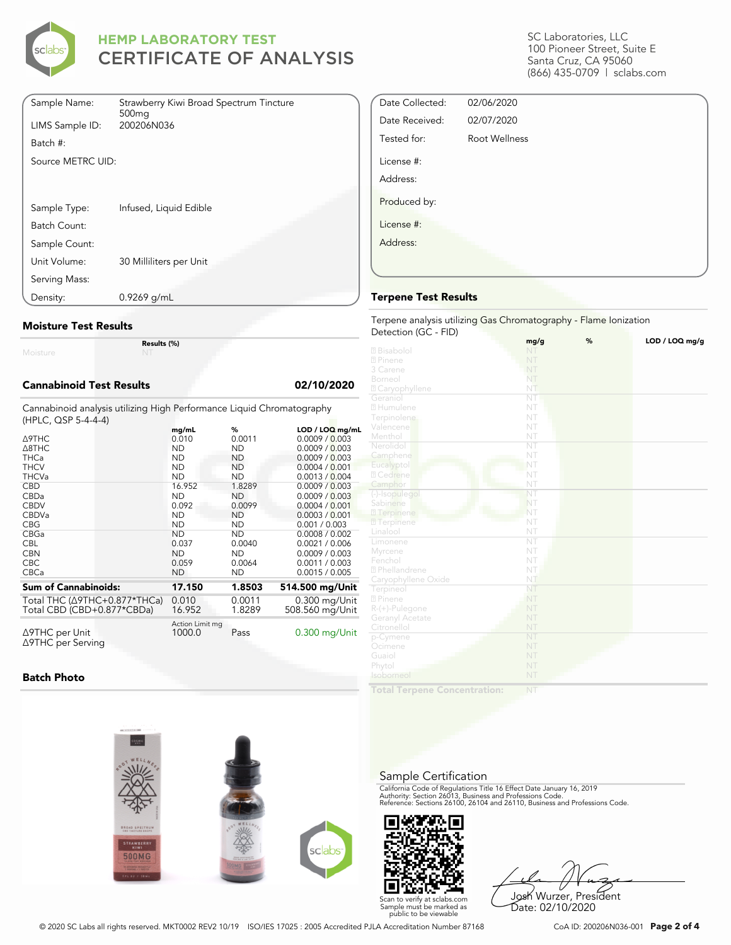

| Sample Name:      | Strawberry Kiwi Broad Spectrum Tincture<br>500 <sub>mq</sub> |
|-------------------|--------------------------------------------------------------|
| LIMS Sample ID:   | 200206N036                                                   |
| Batch #:          |                                                              |
| Source METRC UID: |                                                              |
|                   |                                                              |
|                   |                                                              |
| Sample Type:      | Infused, Liquid Edible                                       |
| Batch Count:      |                                                              |
| Sample Count:     |                                                              |
| Unit Volume:      | 30 Milliliters per Unit                                      |
| Serving Mass:     |                                                              |
| Density:          | 0.9269 g/mL                                                  |

## **Moisture Test Results**

Moisture

**Results (%)**

### **Cannabinoid Test Results 02/10/2020**

Cannabinoid analysis utilizing High Performance Liquid Chromatography (HPLC, QSP 5-4-4-4)

|                                     | mg/mL                     | %         | LOD / LOQ mg/mL |
|-------------------------------------|---------------------------|-----------|-----------------|
| Δ9THC                               | 0.010                     | 0.0011    | 0.0009 / 0.003  |
| $\triangle$ 8THC                    | <b>ND</b>                 | ND.       | 0.0009 / 0.003  |
| <b>THCa</b>                         | <b>ND</b>                 | <b>ND</b> | 0.0009 / 0.003  |
| <b>THCV</b>                         | <b>ND</b>                 | <b>ND</b> | 0.0004 / 0.001  |
| <b>THCVa</b>                        | <b>ND</b>                 | <b>ND</b> | 0.0013 / 0.004  |
| <b>CBD</b>                          | 16.952                    | 1.8289    | 0.0009 / 0.003  |
| CBDa                                | <b>ND</b>                 | ND.       | 0.0009 / 0.003  |
| <b>CBDV</b>                         | 0.092                     | 0.0099    | 0.0004 / 0.001  |
| <b>CBDVa</b>                        | <b>ND</b>                 | ND        | 0.0003 / 0.001  |
| <b>CBG</b>                          | ND                        | ND.       | 0.001 / 0.003   |
| CBGa                                | <b>ND</b>                 | <b>ND</b> | 0.0008 / 0.002  |
| <b>CBL</b>                          | 0.037                     | 0.0040    | 0.0021 / 0.006  |
| <b>CBN</b>                          | <b>ND</b>                 | <b>ND</b> | 0.0009 / 0.003  |
| <b>CBC</b>                          | 0.059                     | 0.0064    | 0.0011 / 0.003  |
| <b>CBCa</b>                         | <b>ND</b>                 | <b>ND</b> | 0.0015 / 0.005  |
| <b>Sum of Cannabinoids:</b>         | 17.150                    | 1.8503    | 514.500 mg/Unit |
| Total THC (Δ9THC+0.877*THCa)        | 0.010                     | 0.0011    | 0.300 mg/Unit   |
| Total CBD (CBD+0.877*CBDa)          | 16.952                    | 1.8289    | 508.560 mg/Unit |
| ∆9THC per Unit<br>∆9THC per Serving | Action Limit mg<br>1000.0 | Pass      | $0.300$ mg/Unit |

**Batch Photo**



Josh Wurzer, President Date: 02/10/2020

SC Laboratories, LLC 100 Pioneer Street, Suite E Santa Cruz, CA 95060 (866) 435-0709 | sclabs.com

| Date Collected: | 02/06/2020           |  |
|-----------------|----------------------|--|
| Date Received:  | 02/07/2020           |  |
| Tested for:     | <b>Root Wellness</b> |  |
| License #:      |                      |  |
| Address:        |                      |  |
| Produced by:    |                      |  |
| License #:      |                      |  |
| Address:        |                      |  |
|                 |                      |  |
|                 |                      |  |

## **Terpene Test Results**

#### Terpene analysis utilizing Gas Chromatography - Flame Ionization Detection (GC - FID)

|                            | mg/g                   | % | LOD / LOQ mg/g |
|----------------------------|------------------------|---|----------------|
| 2 Bisabolol                | NT                     |   |                |
| 2 Pinene                   | NT                     |   |                |
| 3 Carene                   | NT                     |   |                |
| Borneol                    | NT                     |   |                |
| <sup>2</sup> Caryophyllene | NT                     |   |                |
| Geraniol                   | $\overline{\text{NT}}$ |   |                |
| 2 Humulene                 | NT                     |   |                |
| Terpinolene                | NT                     |   |                |
| Valencene                  | NT                     |   |                |
| Menthol                    | NT                     |   |                |
| Nerolidol                  | $\overline{\text{NT}}$ |   |                |
| Camphene                   | NT                     |   |                |
| Eucalyptol                 | NT                     |   |                |
| 2 Cedrene                  | NT                     |   |                |
| Camphor                    | NT                     |   |                |
| (-)-Isopulegol             | NT                     |   |                |
| Sabinene                   | NT                     |   |                |
| 2 Terpinene                | NT                     |   |                |
| <b>7</b> Terpinene         | NT                     |   |                |
| Linalool                   | NT                     |   |                |
| Limonene                   | $\overline{\text{NT}}$ |   |                |
| Myrcene                    | NT                     |   |                |
| Fenchol                    | NT                     |   |                |
| <sup>2</sup> Phellandrene  | NT                     |   |                |
| Caryophyllene Oxide        | NT                     |   |                |
| Terpineol                  | NT                     |   |                |
| 2 Pinene                   | NT                     |   |                |
| R-(+)-Pulegone             | NT                     |   |                |
| Geranyl Acetate            | NT                     |   |                |
| Citronellol                | NT                     |   |                |
| p-Cymene                   | NT                     |   |                |
| Ocimene                    | NT                     |   |                |
| Guaiol                     | NT                     |   |                |
| Phytol                     | NT                     |   |                |
| Isoborneol                 | NT                     |   |                |
|                            |                        |   |                |

**Total Terpene Concentration:**

# Sample Certification

California Code of Regulations Title 16 Effect Date January 16, 2019<br>Authority: Section 26013, Business and Professions Code.<br>Reference: Sections 26100, 26104 and 26110, Business and Professions Code.

Scan to verify at sclabs.com Sample must be marked as public to be viewable

© 2020 SC Labs all rights reserved. MKT0002 REV2 10/19 ISO/IES 17025 : 2005 Accredited PJLA Accreditation Number 87168 CoA ID: 200206N036-001 **Page 2 of 4**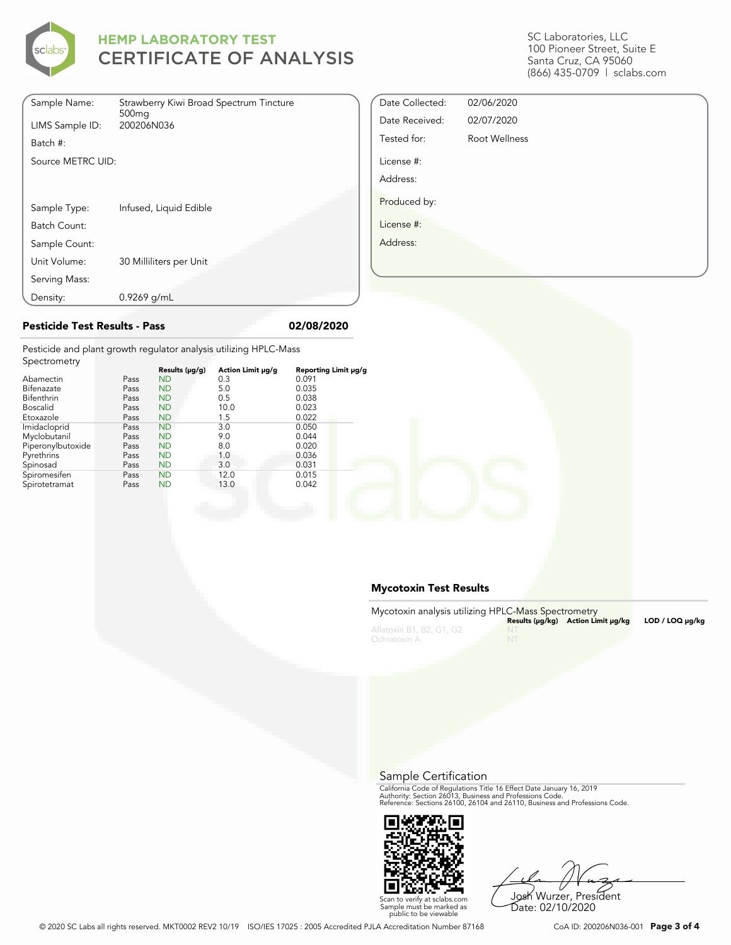

| Sample Name:      | Strawberry Kiwi Broad Spectrum Tincture<br>500 <sub>mq</sub> |
|-------------------|--------------------------------------------------------------|
| LIMS Sample ID:   | 200206N036                                                   |
| Batch #:          |                                                              |
| Source METRC UID: |                                                              |
|                   |                                                              |
|                   |                                                              |
| Sample Type:      | Infused, Liquid Edible                                       |
| Batch Count:      |                                                              |
| Sample Count:     |                                                              |
| Unit Volume:      | 30 Milliliters per Unit                                      |
| Serving Mass:     |                                                              |
| Density:          | $0.9269$ g/mL                                                |

SC Laboratories, LLC 100 Pioneer Street, Suite E Santa Cruz, CA 95060 (866) 435-0709 | sclabs.com

| Date Collected: | 02/06/2020    |  |
|-----------------|---------------|--|
| Date Received:  | 02/07/2020    |  |
| Tested for:     | Root Wellness |  |
| License #:      |               |  |
| Address:        |               |  |
| Produced by:    |               |  |
| License #:      |               |  |
| Address:        |               |  |
|                 |               |  |
|                 |               |  |

## **Pesticide Test Results - Pass 02/08/2020**

Pesticide and plant growth regulator analysis utilizing HPLC-Mass Spectrometry

| OPCCHOTICH Y      |      |                |                   |                      |
|-------------------|------|----------------|-------------------|----------------------|
|                   |      | Results (µg/g) | Action Limit µg/g | Reporting Limit µg/g |
| Abamectin         | Pass | <b>ND</b>      | 0.3               | 0.091                |
| Bifenazate        | Pass | <b>ND</b>      | 5.0               | 0.035                |
| <b>Bifenthrin</b> | Pass | <b>ND</b>      | 0.5               | 0.038                |
| <b>Boscalid</b>   | Pass | <b>ND</b>      | 10.0              | 0.023                |
| Etoxazole         | Pass | <b>ND</b>      | 1.5               | 0.022                |
| Imidacloprid      | Pass | <b>ND</b>      | 3.0               | 0.050                |
| Myclobutanil      | Pass | <b>ND</b>      | 9.0               | 0.044                |
| Piperonylbutoxide | Pass | <b>ND</b>      | 8.0               | 0.020                |
| Pyrethrins        | Pass | <b>ND</b>      | 1.0               | 0.036                |
| Spinosad          | Pass | <b>ND</b>      | 3.0               | 0.031                |
| Spiromesifen      | Pass | <b>ND</b>      | 12.0              | 0.015                |
| Spirotetramat     | Pass | <b>ND</b>      | 13.0              | 0.042                |
|                   |      |                |                   |                      |

## **Mycotoxin Test Results**

| Mycotoxin analysis utilizing HPLC-Mass Spectrometry |    | Results (µq/kq) Action Limit µq/kq | LOD / LOQ µq/kq |
|-----------------------------------------------------|----|------------------------------------|-----------------|
| Aflatoxin B1, B2, G1, G2<br>Ochratoxin A            | NT |                                    |                 |

Sample Certification

California Code of Regulations Title 16 Effect Date January 16, 2019<br>Authority: Section 26013, Business and Professions Code.<br>Reference: Sections 26100, 26104 and 26110, Business and Professions Code.



Josh Wurzer, President

Date: 02/10/2020

Scan to verify at sclabs.com Sample must be marked as public to be viewable